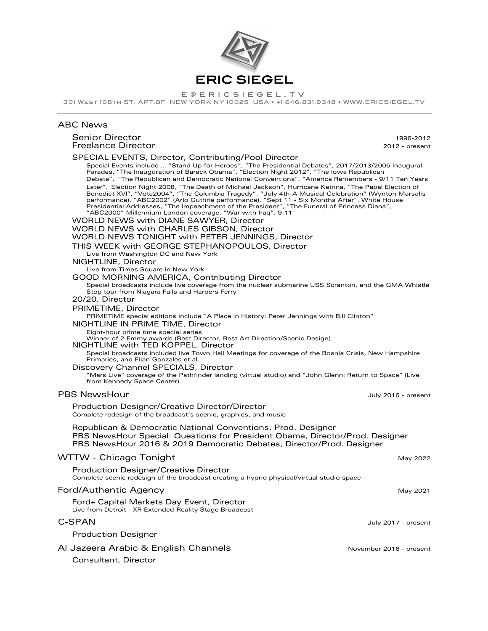

E @ E R I C S I E G E L . T V<br>301 WEST 108TH ST. APT.8F NEW YORK NY 10025 USA • +1 646.831.9348 • WWW.ERICSIEGEL.TV

## ABC News

# Senior Director 1996-2012

| Freelance Director                                                                                                                                                                                                                                                                                                                                                                                                                                                                                                                                                                                                                                                                                                                                                                                                                                                                                                                                                                                                                                                                                                                                                                                                                                                                                                                                                                                                                                                                                                                                                                                                                                                                                                                                                                                                                                                                                                                                                                                                                         | 2012 - present          |
|--------------------------------------------------------------------------------------------------------------------------------------------------------------------------------------------------------------------------------------------------------------------------------------------------------------------------------------------------------------------------------------------------------------------------------------------------------------------------------------------------------------------------------------------------------------------------------------------------------------------------------------------------------------------------------------------------------------------------------------------------------------------------------------------------------------------------------------------------------------------------------------------------------------------------------------------------------------------------------------------------------------------------------------------------------------------------------------------------------------------------------------------------------------------------------------------------------------------------------------------------------------------------------------------------------------------------------------------------------------------------------------------------------------------------------------------------------------------------------------------------------------------------------------------------------------------------------------------------------------------------------------------------------------------------------------------------------------------------------------------------------------------------------------------------------------------------------------------------------------------------------------------------------------------------------------------------------------------------------------------------------------------------------------------|-------------------------|
| SPECIAL EVENTS, Director, Contributing/Pool Director<br>Special Events include  "Stand Up for Heroes", "The Presidential Debates", 2017/2013/2005 Inaugural<br>Parades, "The Inauguration of Barack Obama", "Election Night 2012", "The Iowa Republican<br>Debate", "The Republican and Democratic National Conventions", "America Remembers - 9/11 Ten Years<br>Later", Election Night 2008, "The Death of Michael Jackson", Hurricane Katrina, "The Papal Election of<br>Benedict XVI", "Vote2004", "The Columbia Tragedy", "July 4th-A Musical Celebration" (Wynton Marsalis<br>performance), "ABC2002" (Arlo Guthrie performance), "Sept 11 - Six Months After", White House<br>Presidential Addresses, "The Impeachment of the President", "The Funeral of Princess Diana",<br>"ABC2000" Millennium London coverage, "War with Iraq", 9.11<br><b>WORLD NEWS with DIANE SAWYER, Director</b><br>WORLD NEWS with CHARLES GIBSON, Director<br>WORLD NEWS TONIGHT with PETER JENNINGS, Director<br>THIS WEEK with GEORGE STEPHANOPOULOS, Director<br>Live from Washington DC and New York<br>NIGHTLINE, Director<br>Live from Times Square in New York<br>GOOD MORNING AMERICA, Contributing Director<br>Special broadcasts include live coverage from the nuclear submarine USS Scranton, and the GMA Whistle<br>Stop tour from Niagara Falls and Harpers Ferry<br>20/20, Director<br>PRIMETIME, Director<br>PRIMETIME special editions include "A Place in History: Peter Jennings with Bill Clinton"<br>NIGHTLINE IN PRIME TIME, Director<br>Eight-hour prime time special series<br>Winner of 2 Emmy awards (Best Director, Best Art Direction/Scenic Design)<br>NIGHTLINE with TED KOPPEL, Director<br>Special broadcasts included live Town Hall Meetings for coverage of the Bosnia Crisis, New Hampshire<br>Primaries, and Elian Gonzales et al.<br>Discovery Channel SPECIALS, Director<br>"Mars Live" coverage of the Pathfinder landing (virtual studio) and "John Glenn: Return to Space" (Live<br>from Kennedy Space Center) |                         |
| <b>PBS NewsHour</b>                                                                                                                                                                                                                                                                                                                                                                                                                                                                                                                                                                                                                                                                                                                                                                                                                                                                                                                                                                                                                                                                                                                                                                                                                                                                                                                                                                                                                                                                                                                                                                                                                                                                                                                                                                                                                                                                                                                                                                                                                        | July 2016 - present     |
| Production Designer/Creative Director/Director<br>Complete redesign of the broadcast's scenic, graphics, and music                                                                                                                                                                                                                                                                                                                                                                                                                                                                                                                                                                                                                                                                                                                                                                                                                                                                                                                                                                                                                                                                                                                                                                                                                                                                                                                                                                                                                                                                                                                                                                                                                                                                                                                                                                                                                                                                                                                         |                         |
| Republican & Democratic National Conventions, Prod. Designer<br>PBS NewsHour Special: Questions for President Obama, Director/Prod. Designer<br>PBS NewsHour 2016 & 2019 Democratic Debates, Director/Prod. Designer                                                                                                                                                                                                                                                                                                                                                                                                                                                                                                                                                                                                                                                                                                                                                                                                                                                                                                                                                                                                                                                                                                                                                                                                                                                                                                                                                                                                                                                                                                                                                                                                                                                                                                                                                                                                                       |                         |
| WTTW - Chicago Tonight                                                                                                                                                                                                                                                                                                                                                                                                                                                                                                                                                                                                                                                                                                                                                                                                                                                                                                                                                                                                                                                                                                                                                                                                                                                                                                                                                                                                                                                                                                                                                                                                                                                                                                                                                                                                                                                                                                                                                                                                                     | May 2022                |
| <b>Production Designer/Creative Director</b><br>Complete scenic redesign of the broadcast creating a hyprid physical/virtual studio space                                                                                                                                                                                                                                                                                                                                                                                                                                                                                                                                                                                                                                                                                                                                                                                                                                                                                                                                                                                                                                                                                                                                                                                                                                                                                                                                                                                                                                                                                                                                                                                                                                                                                                                                                                                                                                                                                                  |                         |
| Ford/Authentic Agency                                                                                                                                                                                                                                                                                                                                                                                                                                                                                                                                                                                                                                                                                                                                                                                                                                                                                                                                                                                                                                                                                                                                                                                                                                                                                                                                                                                                                                                                                                                                                                                                                                                                                                                                                                                                                                                                                                                                                                                                                      | May 2021                |
| Ford+ Capital Markets Day Event, Director<br>Live from Detroit - XR Extended-Reality Stage Broadcast                                                                                                                                                                                                                                                                                                                                                                                                                                                                                                                                                                                                                                                                                                                                                                                                                                                                                                                                                                                                                                                                                                                                                                                                                                                                                                                                                                                                                                                                                                                                                                                                                                                                                                                                                                                                                                                                                                                                       |                         |
| C-SPAN                                                                                                                                                                                                                                                                                                                                                                                                                                                                                                                                                                                                                                                                                                                                                                                                                                                                                                                                                                                                                                                                                                                                                                                                                                                                                                                                                                                                                                                                                                                                                                                                                                                                                                                                                                                                                                                                                                                                                                                                                                     | July 2017 - present     |
| <b>Production Designer</b>                                                                                                                                                                                                                                                                                                                                                                                                                                                                                                                                                                                                                                                                                                                                                                                                                                                                                                                                                                                                                                                                                                                                                                                                                                                                                                                                                                                                                                                                                                                                                                                                                                                                                                                                                                                                                                                                                                                                                                                                                 |                         |
| Al Jazeera Arabic & English Channels                                                                                                                                                                                                                                                                                                                                                                                                                                                                                                                                                                                                                                                                                                                                                                                                                                                                                                                                                                                                                                                                                                                                                                                                                                                                                                                                                                                                                                                                                                                                                                                                                                                                                                                                                                                                                                                                                                                                                                                                       | November 2016 - present |
| Consultant, Director                                                                                                                                                                                                                                                                                                                                                                                                                                                                                                                                                                                                                                                                                                                                                                                                                                                                                                                                                                                                                                                                                                                                                                                                                                                                                                                                                                                                                                                                                                                                                                                                                                                                                                                                                                                                                                                                                                                                                                                                                       |                         |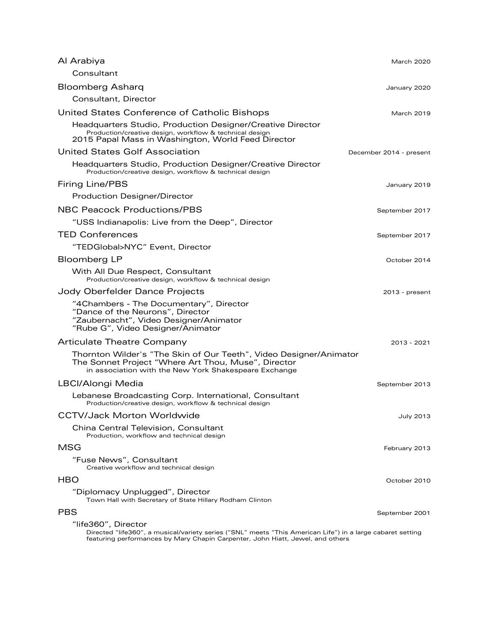| Al Arabiya                                                                                                                                                                                                          | March 2020              |
|---------------------------------------------------------------------------------------------------------------------------------------------------------------------------------------------------------------------|-------------------------|
| Consultant                                                                                                                                                                                                          |                         |
| <b>Bloomberg Asharq</b>                                                                                                                                                                                             | January 2020            |
| Consultant, Director                                                                                                                                                                                                |                         |
| United States Conference of Catholic Bishops                                                                                                                                                                        | <b>March 2019</b>       |
| Headquarters Studio, Production Designer/Creative Director<br>Production/creative design, workflow & technical design<br>2015 Papal Mass in Washington, World Feed Director                                         |                         |
| United States Golf Association                                                                                                                                                                                      | December 2014 - present |
| Headquarters Studio, Production Designer/Creative Director<br>Production/creative design, workflow & technical design                                                                                               |                         |
| Firing Line/PBS                                                                                                                                                                                                     | January 2019            |
| <b>Production Designer/Director</b>                                                                                                                                                                                 |                         |
| <b>NBC Peacock Productions/PBS</b>                                                                                                                                                                                  | September 2017          |
| "USS Indianapolis: Live from the Deep", Director                                                                                                                                                                    |                         |
| <b>TED Conferences</b>                                                                                                                                                                                              | September 2017          |
| "TEDGlobal>NYC" Event, Director                                                                                                                                                                                     |                         |
| <b>Bloomberg LP</b>                                                                                                                                                                                                 | October 2014            |
| With All Due Respect, Consultant<br>Production/creative design, workflow & technical design                                                                                                                         |                         |
| Jody Oberfelder Dance Projects                                                                                                                                                                                      | $2013$ - present        |
| "4Chambers - The Documentary", Director<br>"Dance of the Neurons", Director<br>"Zaubernacht", Video Designer/Animator<br>"Rube G", Video Designer/Animator                                                          |                         |
| Articulate Theatre Company                                                                                                                                                                                          | 2013 - 2021             |
| Thornton Wilder's "The Skin of Our Teeth", Video Designer/Animator<br>The Sonnet Project "Where Art Thou, Muse", Director<br>in association with the New York Shakespeare Exchange                                  |                         |
| LBCI/Alongi Media                                                                                                                                                                                                   | September 2013          |
| Lebanese Broadcasting Corp. International, Consultant<br>Production/creative design, workflow & technical design                                                                                                    |                         |
| <b>CCTV/Jack Morton Worldwide</b>                                                                                                                                                                                   | July 2013               |
| China Central Television, Consultant<br>Production, workflow and technical design                                                                                                                                   |                         |
| MSG                                                                                                                                                                                                                 | February 2013           |
| "Fuse News", Consultant<br>Creative workflow and technical design                                                                                                                                                   |                         |
| HBO                                                                                                                                                                                                                 | October 2010            |
| "Diplomacy Unplugged", Director<br>Town Hall with Secretary of State Hillary Rodham Clinton                                                                                                                         |                         |
| <b>PBS</b>                                                                                                                                                                                                          | September 2001          |
| "life360", Director<br>Directed "life360", a musical/variety series ("SNL" meets "This American Life") in a large cabaret setting<br>featuring performances by Mary Chapin Carpenter, John Hiatt, Jewel, and others |                         |